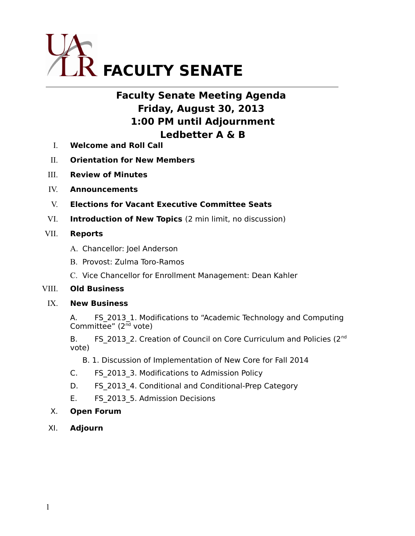

# **Faculty Senate Meeting Agenda Friday, August 30, 2013 1:00 PM until Adjournment Ledbetter A & B**

- I. **Welcome and Roll Call**
- II. **Orientation for New Members**
- III. **Review of Minutes**
- IV. **Announcements**
- V. **Elections for Vacant Executive Committee Seats**
- VI. **Introduction of New Topics** (2 min limit, no discussion)

### VII. **Reports**

- A. Chancellor: Joel Anderson
- B. Provost: Zulma Toro-Ramos
- C. Vice Chancellor for Enrollment Management: Dean Kahler

## VIII. **Old Business**

## IX. **New Business**

A. FS 2013 1. Modifications to "Academic Technology and Computing Committee"  $(2^{\overline{nd}}$  vote)

B. FS 2013 2. Creation of Council on Core Curriculum and Policies (2<sup>nd</sup> vote)

B. 1. Discussion of Implementation of New Core for Fall 2014

- C. FS\_2013\_3. Modifications to Admission Policy
- D. FS 2013 4. Conditional and Conditional-Prep Category
- E. FS 2013 5. Admission Decisions
- X. **Open Forum**
- XI. **Adjourn**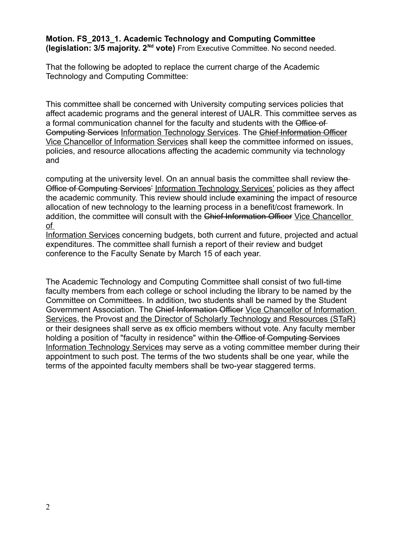### **Motion. FS\_2013\_1. Academic Technology and Computing Committee (legislation: 3/5 majority. 2Nd vote)** From Executive Committee. No second needed.

That the following be adopted to replace the current charge of the Academic Technology and Computing Committee:

This committee shall be concerned with University computing services policies that affect academic programs and the general interest of UALR. This committee serves as a formal communication channel for the faculty and students with the Office of Computing Services Information Technology Services. The Chief Information Officer Vice Chancellor of Information Services shall keep the committee informed on issues, policies, and resource allocations affecting the academic community via technology and

computing at the university level. On an annual basis the committee shall review the Office of Computing Services' Information Technology Services' policies as they affect the academic community. This review should include examining the impact of resource allocation of new technology to the learning process in a benefit/cost framework. In addition, the committee will consult with the Chief Information Officer Vice Chancellor of

 Information Services concerning budgets, both current and future, projected and actual expenditures. The committee shall furnish a report of their review and budget conference to the Faculty Senate by March 15 of each year.

The Academic Technology and Computing Committee shall consist of two full-time faculty members from each college or school including the library to be named by the Committee on Committees. In addition, two students shall be named by the Student Government Association. The Chief Information Officer Vice Chancellor of Information Services, the Provost and the Director of Scholarly Technology and Resources (STaR) or their designees shall serve as ex officio members without vote. Any faculty member holding a position of "faculty in residence" within the Office of Computing Services Information Technology Services may serve as a voting committee member during their appointment to such post. The terms of the two students shall be one year, while the terms of the appointed faculty members shall be two-year staggered terms.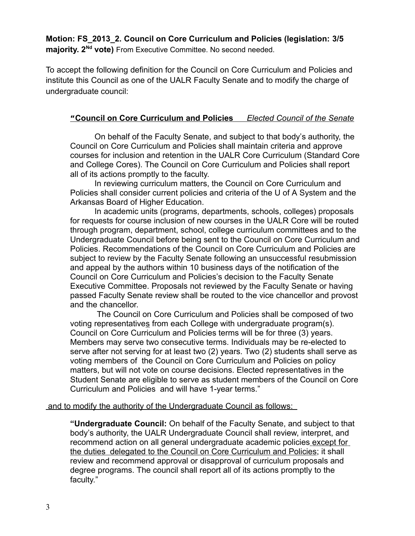# **Motion: FS\_2013\_2. Council on Core Curriculum and Policies (legislation: 3/5 majority. 2Nd vote)** From Executive Committee. No second needed.

To accept the following definition for the Council on Core Curriculum and Policies and institute this Council as one of the UALR Faculty Senate and to modify the charge of undergraduate council:

# "Council on Core Curriculum and Policies Elected Council of the Senate

On behalf of the Faculty Senate, and subject to that body's authority, the Council on Core Curriculum and Policies shall maintain criteria and approve courses for inclusion and retention in the UALR Core Curriculum (Standard Core and College Cores). The Council on Core Curriculum and Policies shall report all of its actions promptly to the faculty.

In reviewing curriculum matters, the Council on Core Curriculum and Policies shall consider current policies and criteria of the U of A System and the Arkansas Board of Higher Education.

In academic units (programs, departments, schools, colleges) proposals for requests for course inclusion of new courses in the UALR Core will be routed through program, department, school, college curriculum committees and to the Undergraduate Council before being sent to the Council on Core Curriculum and Policies. Recommendations of the Council on Core Curriculum and Policies are subject to review by the Faculty Senate following an unsuccessful resubmission and appeal by the authors within 10 business days of the notification of the Council on Core Curriculum and Policies's decision to the Faculty Senate Executive Committee. Proposals not reviewed by the Faculty Senate or having passed Faculty Senate review shall be routed to the vice chancellor and provost and the chancellor.

The Council on Core Curriculum and Policies shall be composed of two voting representatives from each College with undergraduate program(s). Council on Core Curriculum and Policies terms will be for three (3) years. Members may serve two consecutive terms. Individuals may be re-elected to serve after not serving for at least two (2) years. Two (2) students shall serve as voting members of the Council on Core Curriculum and Policies on policy matters, but will not vote on course decisions. Elected representatives in the Student Senate are eligible to serve as student members of the Council on Core Curriculum and Policies and will have 1-year terms."

and to modify the authority of the Undergraduate Council as follows:

**"Undergraduate Council:** On behalf of the Faculty Senate, and subject to that body's authority, the UALR Undergraduate Council shall review, interpret, and recommend action on all general undergraduate academic policies except for the duties delegated to the Council on Core Curriculum and Policies; it shall review and recommend approval or disapproval of curriculum proposals and degree programs. The council shall report all of its actions promptly to the faculty."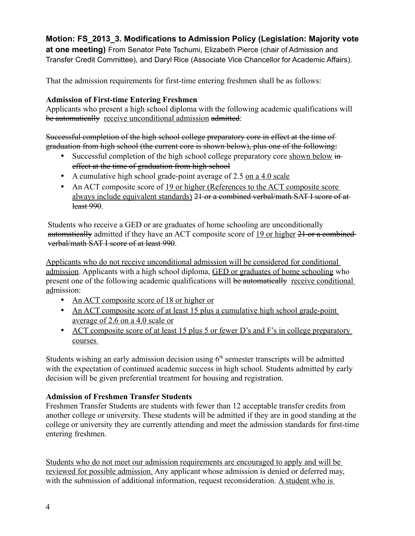# **Motion: FS\_2013\_3. Modifications to Admission Policy (Legislation: Majority vote**

**at one meeting)** From Senator Pete Tschumi, Elizabeth Pierce (chair of Admission and Transfer Credit Committee), and Daryl Rice (Associate Vice Chancellor for Academic Affairs).

That the admission requirements for first-time entering freshmen shall be as follows:

## **Admission of First-time Entering Freshmen**

Applicants who present a high school diploma with the following academic qualifications will be automatically receive unconditional admission admitted:

Successful completion of the high school college preparatory core in effect at the time of graduation from high school (the current core is shown below), plus one of the following:

- Successful completion of the high school college preparatory core shown below ineffect at the time of graduation from high school
- A cumulative high school grade-point average of 2.5 on a 4.0 scale
- An ACT composite score of 19 or higher (References to the ACT composite score always include equivalent standards) 21 or a combined verbal/math SAT I score of at least 990.

Students who receive a GED or are graduates of home schooling are unconditionally automatically admitted if they have an ACT composite score of 19 or higher 21 or a combinedverbal/math SAT I score of at least 990.

Applicants who do not receive unconditional admission will be considered for conditional admission. Applicants with a high school diploma, GED or graduates of home schooling who present one of the following academic qualifications will be automatically receive conditional admission:

- An ACT composite score of 18 or higher or
- An ACT composite score of at least 15 plus a cumulative high school grade-point average of 2.6 on a 4.0 scale or
- ACT composite score of at least 15 plus 5 or fewer D's and F's in college preparatory courses

Students wishing an early admission decision using  $6<sup>th</sup>$  semester transcripts will be admitted with the expectation of continued academic success in high school. Students admitted by early decision will be given preferential treatment for housing and registration.

## **Admission of Freshmen Transfer Students**

Freshmen Transfer Students are students with fewer than 12 acceptable transfer credits from another college or university. These students will be admitted if they are in good standing at the college or university they are currently attending and meet the admission standards for first-time entering freshmen.

Students who do not meet our admission requirements are encouraged to apply and will be reviewed for possible admission. Any applicant whose admission is denied or deferred may, with the submission of additional information, request reconsideration. A student who is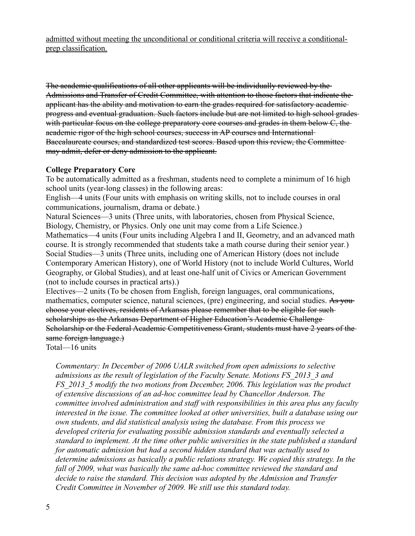admitted without meeting the unconditional or conditional criteria will receive a conditionalprep classification.

The academic qualifications of all other applicants will be individually reviewed by the Admissions and Transfer of Credit Committee, with attention to those factors that indicate the applicant has the ability and motivation to carn the grades required for satisfactory academicprogress and eventual graduation. Such factors include but are not limited to high school grades with particular focus on the college preparatory core courses and grades in them below C, the academic rigor of the high school courses, success in AP courses and International Baccalaureate courses, and standardized test scores. Based upon this review, the Committee may admit, defer or deny admission to the applicant.

## **College Preparatory Core**

To be automatically admitted as a freshman, students need to complete a minimum of 16 high school units (year-long classes) in the following areas:

English—4 units (Four units with emphasis on writing skills, not to include courses in oral communications, journalism, drama or debate.)

Natural Sciences—3 units (Three units, with laboratories, chosen from Physical Science, Biology, Chemistry, or Physics. Only one unit may come from a Life Science.)

Mathematics—4 units (Four units including Algebra I and II, Geometry, and an advanced math course. It is strongly recommended that students take a math course during their senior year*.*) Social Studies—3 units (Three units, including one of American History (does not include Contemporary American History), one of World History (not to include World Cultures, World Geography, or Global Studies), and at least one-half unit of Civics or American Government (not to include courses in practical arts).)

Electives—2 units (To be chosen from English, foreign languages, oral communications, mathematics, computer science, natural sciences, (pre) engineering, and social studies. As you choose your electives, residents of Arkansas please remember that to be eligible for such scholarships as the Arkansas Department of Higher Education's Academic Challenge-Scholarship or the Federal Academic Competitiveness Grant, students must have 2 years of the same foreign language.)

Total—16 units

*Commentary: In December of 2006 UALR switched from open admissions to selective admissions as the result of legislation of the Faculty Senate. Motions FS\_2013\_3 and FS\_2013\_5 modify the two motions from December, 2006. This legislation was the product of extensive discussions of an ad-hoc committee lead by Chancellor Anderson. The committee involved administration and staff with responsibilities in this area plus any faculty interested in the issue. The committee looked at other universities, built a database using our own students, and did statistical analysis using the database. From this process we developed criteria for evaluating possible admission standards and eventually selected a standard to implement. At the time other public universities in the state published a standard for automatic admission but had a second hidden standard that was actually used to determine admissions as basically a public relations strategy. We copied this strategy. In the fall of 2009, what was basically the same ad-hoc committee reviewed the standard and decide to raise the standard. This decision was adopted by the Admission and Transfer Credit Committee in November of 2009. We still use this standard today.*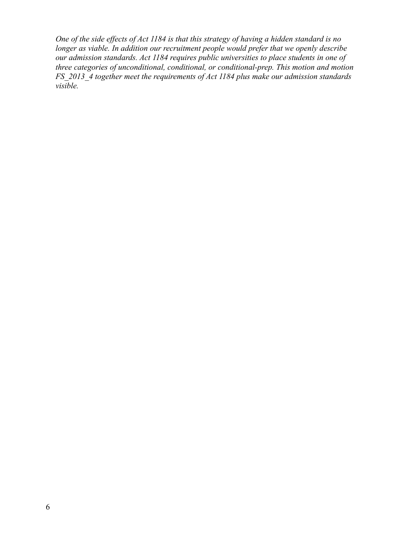*One of the side effects of Act 1184 is that this strategy of having a hidden standard is no longer as viable. In addition our recruitment people would prefer that we openly describe our admission standards. Act 1184 requires public universities to place students in one of three categories of unconditional, conditional, or conditional-prep. This motion and motion FS\_2013\_4 together meet the requirements of Act 1184 plus make our admission standards visible.*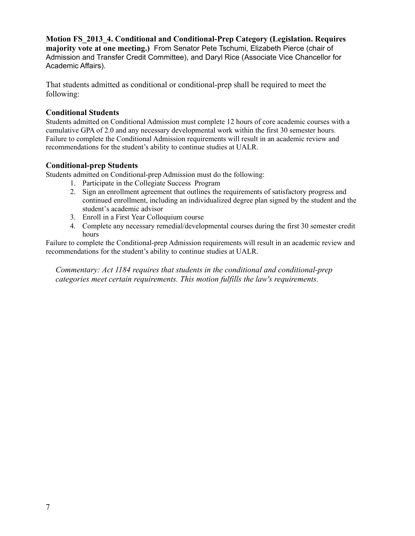**Motion FS\_2013\_4. Conditional and Conditional-Prep Category (Legislation. Requires majority vote at one meeting.)** From Senator Pete Tschumi, Elizabeth Pierce (chair of Admission and Transfer Credit Committee), and Daryl Rice (Associate Vice Chancellor for Academic Affairs).

That students admitted as conditional or conditional-prep shall be required to meet the following:

#### **Conditional Students**

Students admitted on Conditional Admission must complete 12 hours of core academic courses with a cumulative GPA of 2.0 and any necessary developmental work within the first 30 semester hours. Failure to complete the Conditional Admission requirements will result in an academic review and recommendations for the student's ability to continue studies at UALR.

## **Conditional-prep Students**

Students admitted on Conditional-prep Admission must do the following:

- 1. Participate in the Collegiate Success Program
- 2. Sign an enrollment agreement that outlines the requirements of satisfactory progress and continued enrollment, including an individualized degree plan signed by the student and the student's academic advisor
- 3. Enroll in a First Year Colloquium course
- 4. Complete any necessary remedial/developmental courses during the first 30 semester credit hours

Failure to complete the Conditional-prep Admission requirements will result in an academic review and recommendations for the student's ability to continue studies at UALR.

*Commentary: Act 1184 requires that students in the conditional and conditional-prep categories meet certain requirements. This motion fulfills the law's requirements.*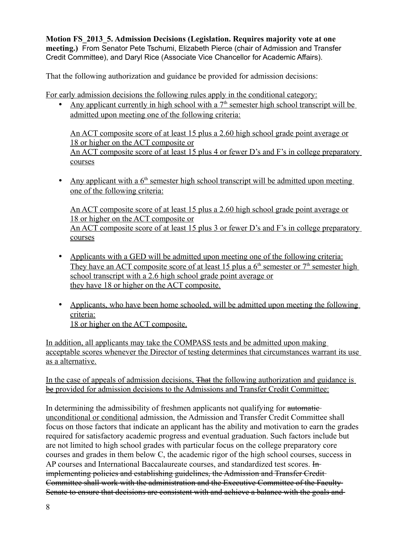**Motion FS\_2013\_5. Admission Decisions (Legislation. Requires majority vote at one meeting.)** From Senator Pete Tschumi, Elizabeth Pierce (chair of Admission and Transfer Credit Committee), and Daryl Rice (Associate Vice Chancellor for Academic Affairs).

That the following authorization and guidance be provided for admission decisions:

For early admission decisions the following rules apply in the conditional category:

• Any applicant currently in high school with a  $7<sup>th</sup>$  semester high school transcript will be admitted upon meeting one of the following criteria:

 An ACT composite score of at least 15 plus a 2.60 high school grade point average or 18 or higher on the ACT composite or An ACT composite score of at least 15 plus 4 or fewer D's and F's in college preparatory courses

• Any applicant with a 6<sup>th</sup> semester high school transcript will be admitted upon meeting one of the following criteria:

 An ACT composite score of at least 15 plus a 2.60 high school grade point average or 18 or higher on the ACT composite or An ACT composite score of at least 15 plus 3 or fewer D's and F's in college preparatory courses

- Applicants with a GED will be admitted upon meeting one of the following criteria: They have an ACT composite score of at least 15 plus a  $6<sup>th</sup>$  semester or  $7<sup>th</sup>$  semester high school transcript with a 2.6 high school grade point average or they have 18 or higher on the ACT composite.
- Applicants, who have been home schooled, will be admitted upon meeting the following criteria: 18 or higher on the ACT composite.

In addition, all applicants may take the COMPASS tests and be admitted upon making acceptable scores whenever the Director of testing determines that circumstances warrant its use as a alternative.

In the case of appeals of admission decisions, That the following authorization and guidance is be provided for admission decisions to the Admissions and Transfer Credit Committee:

In determining the admissibility of freshmen applicants not qualifying for automaticunconditional or conditional admission, the Admission and Transfer Credit Committee shall focus on those factors that indicate an applicant has the ability and motivation to earn the grades required for satisfactory academic progress and eventual graduation. Such factors include but are not limited to high school grades with particular focus on the college preparatory core courses and grades in them below C, the academic rigor of the high school courses, success in AP courses and International Baccalaureate courses, and standardized test scores. Inimplementing policies and establishing guidelines, the Admission and Transfer Credit Committee shall work with the administration and the Executive Committee of the Faculty Senate to ensure that decisions are consistent with and achieve a balance with the goals and-